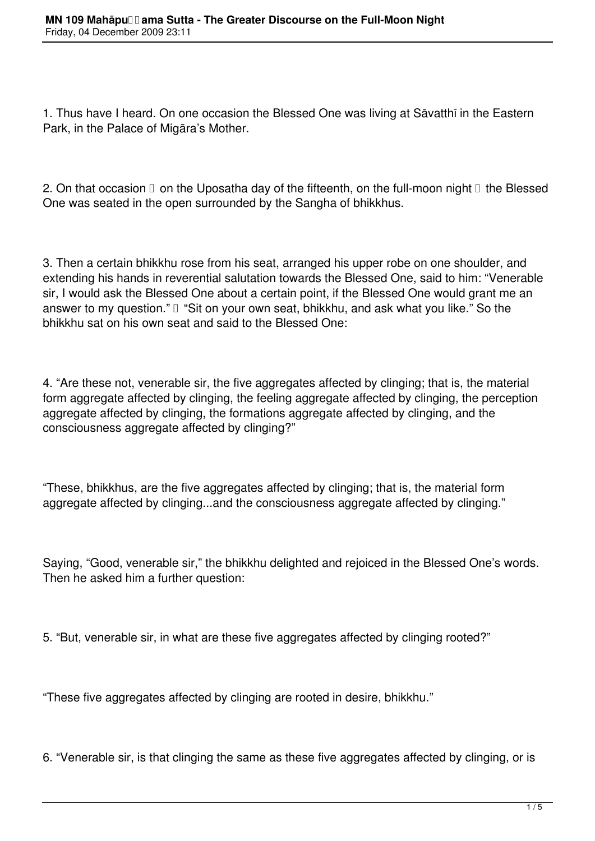1. Thus have I heard. On one occasion the Blessed One was living at Sāvatthī in the Eastern Park, in the Palace of Migāra's Mother.

2. On that occasion  $\Box$  on the Uposatha day of the fifteenth, on the full-moon night  $\Box$  the Blessed One was seated in the open surrounded by the Sangha of bhikkhus.

3. Then a certain bhikkhu rose from his seat, arranged his upper robe on one shoulder, and extending his hands in reverential salutation towards the Blessed One, said to him: "Venerable sir, I would ask the Blessed One about a certain point, if the Blessed One would grant me an answer to my question."  $\Box$  "Sit on your own seat, bhikkhu, and ask what you like." So the bhikkhu sat on his own seat and said to the Blessed One:

4. "Are these not, venerable sir, the five aggregates affected by clinging; that is, the material form aggregate affected by clinging, the feeling aggregate affected by clinging, the perception aggregate affected by clinging, the formations aggregate affected by clinging, and the consciousness aggregate affected by clinging?"

"These, bhikkhus, are the five aggregates affected by clinging; that is, the material form aggregate affected by clinging...and the consciousness aggregate affected by clinging."

Saying, "Good, venerable sir," the bhikkhu delighted and rejoiced in the Blessed One's words. Then he asked him a further question:

5. "But, venerable sir, in what are these five aggregates affected by clinging rooted?"

"These five aggregates affected by clinging are rooted in desire, bhikkhu."

6. "Venerable sir, is that clinging the same as these five aggregates affected by clinging, or is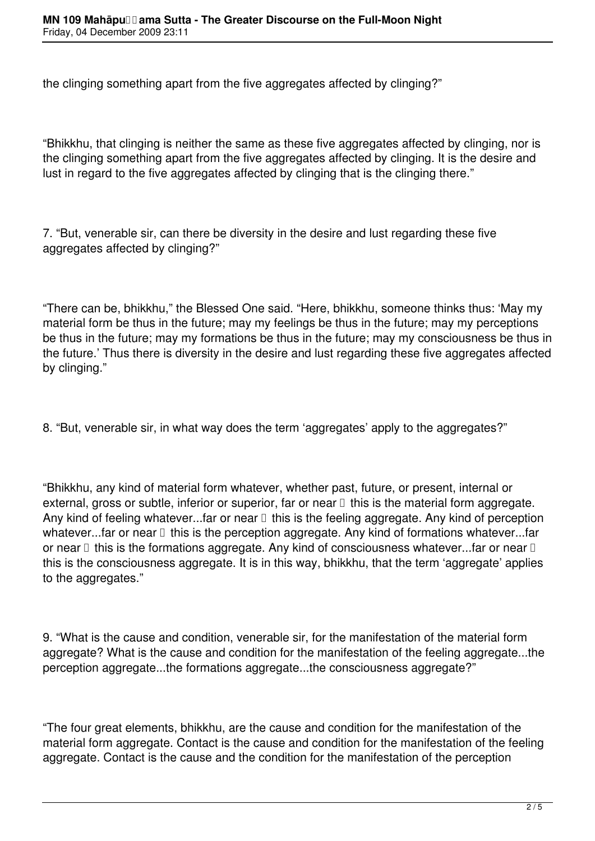the clinging something apart from the five aggregates affected by clinging?"

"Bhikkhu, that clinging is neither the same as these five aggregates affected by clinging, nor is the clinging something apart from the five aggregates affected by clinging. It is the desire and lust in regard to the five aggregates affected by clinging that is the clinging there."

7. "But, venerable sir, can there be diversity in the desire and lust regarding these five aggregates affected by clinging?"

"There can be, bhikkhu," the Blessed One said. "Here, bhikkhu, someone thinks thus: 'May my material form be thus in the future; may my feelings be thus in the future; may my perceptions be thus in the future; may my formations be thus in the future; may my consciousness be thus in the future.' Thus there is diversity in the desire and lust regarding these five aggregates affected by clinging."

8. "But, venerable sir, in what way does the term 'aggregates' apply to the aggregates?"

"Bhikkhu, any kind of material form whatever, whether past, future, or present, internal or external, gross or subtle, inferior or superior, far or near  $\Box$  this is the material form aggregate. Any kind of feeling whatever...far or near  $\Box$  this is the feeling aggregate. Any kind of perception whatever...far or near  $\Box$  this is the perception aggregate. Any kind of formations whatever...far or near  $\Box$  this is the formations aggregate. Any kind of consciousness whatever...far or near  $\Box$ this is the consciousness aggregate. It is in this way, bhikkhu, that the term 'aggregate' applies to the aggregates."

9. "What is the cause and condition, venerable sir, for the manifestation of the material form aggregate? What is the cause and condition for the manifestation of the feeling aggregate...the perception aggregate...the formations aggregate...the consciousness aggregate?"

"The four great elements, bhikkhu, are the cause and condition for the manifestation of the material form aggregate. Contact is the cause and condition for the manifestation of the feeling aggregate. Contact is the cause and the condition for the manifestation of the perception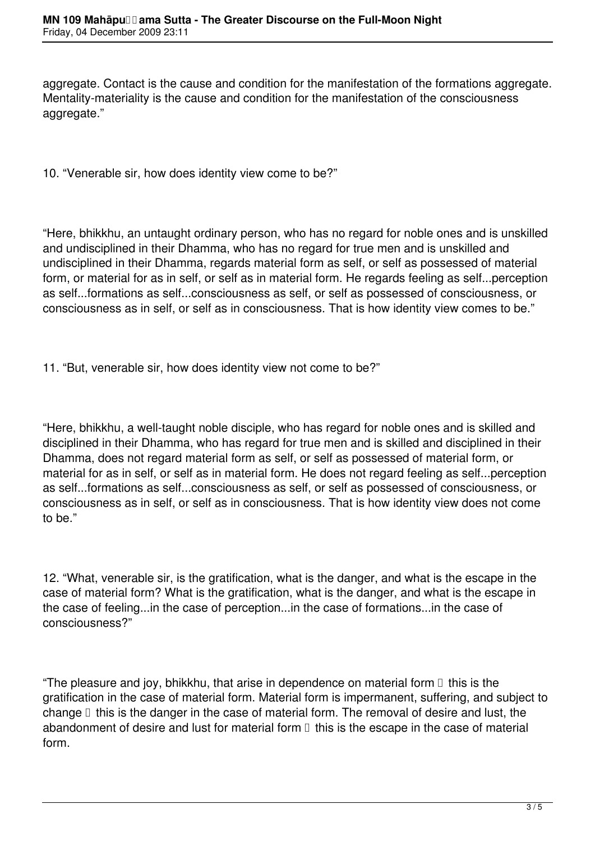aggregate. Contact is the cause and condition for the manifestation of the formations aggregate. Mentality-materiality is the cause and condition for the manifestation of the consciousness aggregate."

10. "Venerable sir, how does identity view come to be?"

"Here, bhikkhu, an untaught ordinary person, who has no regard for noble ones and is unskilled and undisciplined in their Dhamma, who has no regard for true men and is unskilled and undisciplined in their Dhamma, regards material form as self, or self as possessed of material form, or material for as in self, or self as in material form. He regards feeling as self...perception as self...formations as self...consciousness as self, or self as possessed of consciousness, or consciousness as in self, or self as in consciousness. That is how identity view comes to be."

11. "But, venerable sir, how does identity view not come to be?"

"Here, bhikkhu, a well-taught noble disciple, who has regard for noble ones and is skilled and disciplined in their Dhamma, who has regard for true men and is skilled and disciplined in their Dhamma, does not regard material form as self, or self as possessed of material form, or material for as in self, or self as in material form. He does not regard feeling as self...perception as self...formations as self...consciousness as self, or self as possessed of consciousness, or consciousness as in self, or self as in consciousness. That is how identity view does not come to be."

12. "What, venerable sir, is the gratification, what is the danger, and what is the escape in the case of material form? What is the gratification, what is the danger, and what is the escape in the case of feeling...in the case of perception...in the case of formations...in the case of consciousness?"

"The pleasure and joy, bhikkhu, that arise in dependence on material form  $\Box$  this is the gratification in the case of material form. Material form is impermanent, suffering, and subject to change  $\Box$  this is the danger in the case of material form. The removal of desire and lust, the abandonment of desire and lust for material form  $\Box$  this is the escape in the case of material form.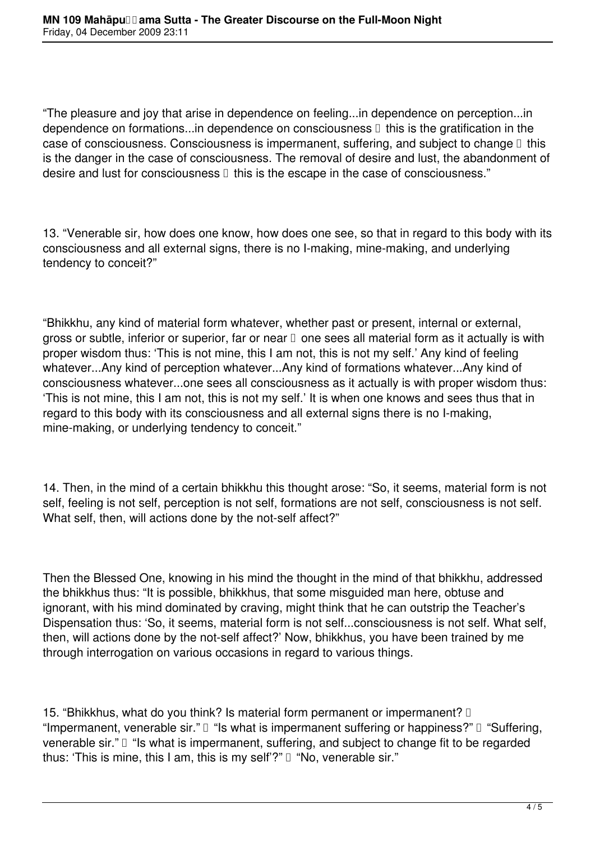"The pleasure and joy that arise in dependence on feeling...in dependence on perception...in dependence on formations...in dependence on consciousness  $\Box$  this is the gratification in the case of consciousness. Consciousness is impermanent, suffering, and subject to change  $\Box$  this is the danger in the case of consciousness. The removal of desire and lust, the abandonment of desire and lust for consciousness  $\Box$  this is the escape in the case of consciousness."

13. "Venerable sir, how does one know, how does one see, so that in regard to this body with its consciousness and all external signs, there is no I-making, mine-making, and underlying tendency to conceit?"

"Bhikkhu, any kind of material form whatever, whether past or present, internal or external, gross or subtle, inferior or superior, far or near  $\Box$  one sees all material form as it actually is with proper wisdom thus: 'This is not mine, this I am not, this is not my self.' Any kind of feeling whatever...Any kind of perception whatever...Any kind of formations whatever...Any kind of consciousness whatever...one sees all consciousness as it actually is with proper wisdom thus: 'This is not mine, this I am not, this is not my self.' It is when one knows and sees thus that in regard to this body with its consciousness and all external signs there is no I-making, mine-making, or underlying tendency to conceit."

14. Then, in the mind of a certain bhikkhu this thought arose: "So, it seems, material form is not self, feeling is not self, perception is not self, formations are not self, consciousness is not self. What self, then, will actions done by the not-self affect?"

Then the Blessed One, knowing in his mind the thought in the mind of that bhikkhu, addressed the bhikkhus thus: "It is possible, bhikkhus, that some misguided man here, obtuse and ignorant, with his mind dominated by craving, might think that he can outstrip the Teacher's Dispensation thus: 'So, it seems, material form is not self...consciousness is not self. What self, then, will actions done by the not-self affect?' Now, bhikkhus, you have been trained by me through interrogation on various occasions in regard to various things.

15. "Bhikkhus, what do you think? Is material form permanent or impermanent?  $\square$ "Impermanent, venerable sir." ― "Is what is impermanent suffering or happiness?" ― "Suffering, venerable sir." ― "Is what is impermanent, suffering, and subject to change fit to be regarded thus: 'This is mine, this I am, this is my self'?" $\square$  "No, venerable sir."